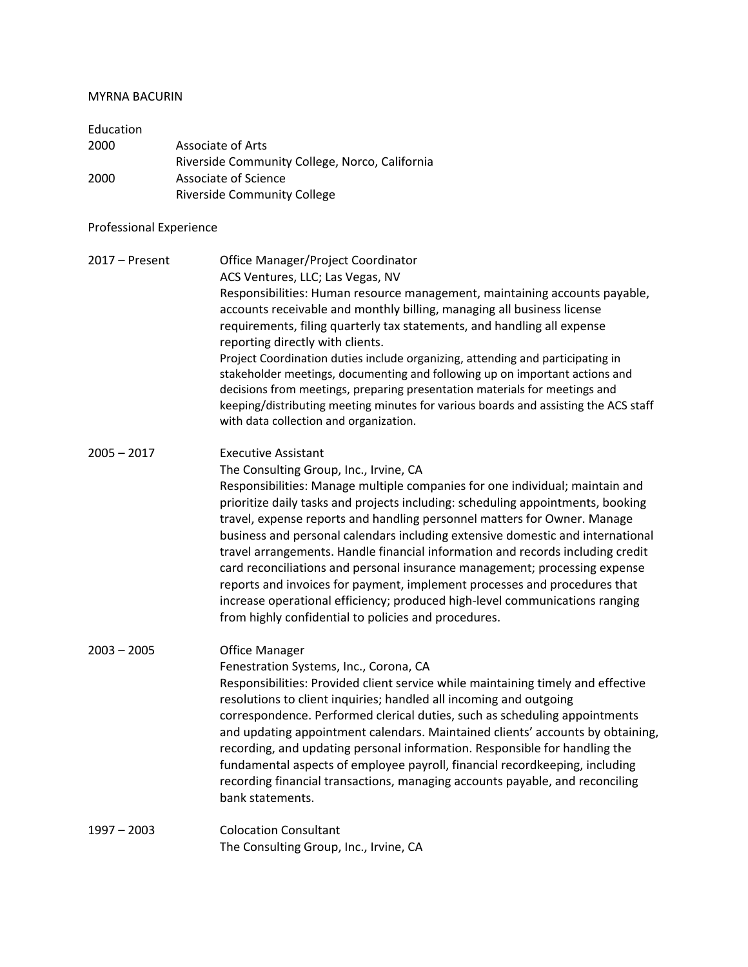## MYRNA BACURIN

| Education |                                                |
|-----------|------------------------------------------------|
| 2000      | Associate of Arts                              |
|           | Riverside Community College, Norco, California |
| 2000      | Associate of Science                           |
|           | <b>Riverside Community College</b>             |

## Professional Experience

2017 – Present Office Manager/Project Coordinator ACS Ventures, LLC; Las Vegas, NV Responsibilities: Human resource management, maintaining accounts payable, accounts receivable and monthly billing, managing all business license requirements, filing quarterly tax statements, and handling all expense reporting directly with clients. Project Coordination duties include organizing, attending and participating in stakeholder meetings, documenting and following up on important actions and decisions from meetings, preparing presentation materials for meetings and keeping/distributing meeting minutes for various boards and assisting the ACS staff with data collection and organization.

- 2005 2017 Executive Assistant The Consulting Group, Inc., Irvine, CA Responsibilities: Manage multiple companies for one individual; maintain and prioritize daily tasks and projects including: scheduling appointments, booking travel, expense reports and handling personnel matters for Owner. Manage business and personal calendars including extensive domestic and international travel arrangements. Handle financial information and records including credit card reconciliations and personal insurance management; processing expense reports and invoices for payment, implement processes and procedures that increase operational efficiency; produced high-level communications ranging from highly confidential to policies and procedures.
- 2003 2005 Office Manager Fenestration Systems, Inc., Corona, CA Responsibilities: Provided client service while maintaining timely and effective resolutions to client inquiries; handled all incoming and outgoing correspondence. Performed clerical duties, such as scheduling appointments and updating appointment calendars. Maintained clients' accounts by obtaining, recording, and updating personal information. Responsible for handling the fundamental aspects of employee payroll, financial recordkeeping, including recording financial transactions, managing accounts payable, and reconciling bank statements.
- 1997 2003 Colocation Consultant The Consulting Group, Inc., Irvine, CA